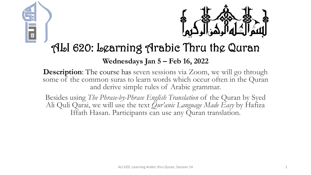



### ALI 620: Learning Arabic Thru the Quran

#### **Wednesdays Jan 5 – Feb 16, 2022**

**Description:** The course has seven sessions via Zoom, we will go through some of the common suras to learn words which occur often in the Quran and derive simple rules of Arabic grammar.

Besides using *The Phrase-by-Phrase English Translation* of the Quran by Syed Ali Quli Qarai, we will use the text *Qur'anic Language Made Easy* by Hafiza Iffath Hasan. Participants can use any Quran translation.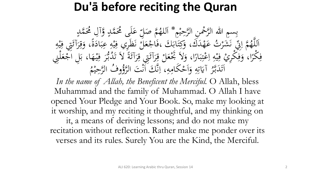### **Du'ā before reciting the Quran**

بِسِمِ اللهِ الرَّحْمِنِ الرَّحِيْمِ \* اَللهُمَّ صَلِّ<br>مَّذَبَهُ وَصَلَّى الرَّحِيْمِ \* اَللهُمَّ صَل م<br>م ه<br>يه ب<br>ه **€** للهُمَّ صَلِّ عَلَى مُحَمَّدٍ وَّآلِ مُحَمَّدٍ<br>مدين من الله  $\frac{1}{2}$ ا  $\overline{a}$  $\overline{a}$ لم<br>ح ى<br>. َ َك مد ه ت ع **ک** رت<br>.。 شر َ َ ن<br>فر س<br>رقب<br>رقب مَّة إِلَيْ<br>مَ إِلَيْ  $\overline{\mathcal{L}}$ ا ہے<br>، اَللَّهُمَّ إِنِّي نَشَرْتُ عَهْدَكَ، وَكِتَابَكَ ،فَاجْعَلَّ نَظَرِي فِيْهِ عِبَادَةً، وَقِرَآئَتِي فِيْهِ<br>حَمَّا رَبِّي مَشَرْتُ عَهْدَكَ، وَكِتَابَكَ ،فَاجْعَلَّ نَظَرِي فِيْهِ عِبَادَةً، وَقِرَآئَتِي فِيْهِ ا<br>۔  $\frac{1}{2}$ بز و<br>را ا<br>ما  $\ddot{\cdot}$ بر ِ  $\frac{1}{2}$ ه<br>به <u>،</u> بر<br>فر م ر<br>بر<br>بر <u>ة</u>  $\ddot{\circ}$ ر<br>ا <u>ة</u> َ ِ مد<br>م ه<br>بد <u>،</u> م<br>گ ر<br>گ  $\int$  $\overline{\phantom{a}}$ فِكْرًا، وَفِكْرِيْ فِيْهِ اِعْتِبَارًا، وَلاَ تَجْعَلْ قِرَآئَتِي قِرَآئَةً لاَ تَدُبُّرَ فِيْهَا، بَلِ اَجْعَلْنِي<br>مَكْرًا، وَفِكْرِيْ فِيْهِ إِعْتِبَارًا، وَلاَ تَجْعَلْ قِرَآئَتِي قِرَآئَةً لاَ تَدُبُّرَ فِيْهَا، بَلِ  $\frac{1}{2}$  $\ddot{\cdot}$ ۰.<br>ه ہ<br>ر ر<br>ا  $\ddot{\cdot}$ بر  $\ddot{.}$ :<br>\*<br>/ ى<br>م  $\frac{1}{2}$ ا ِ  $\frac{1}{2}$ ه<br>به ِ<br>ِهِ و<br>ِ ر<br>ا **ٔ فا** م ر<br>ر ِ<br>په م<br>گ ë<br>. م<br>گ ر<br>گ ت<br>ا **م**<br>. ب<br>.  $\epsilon$  $\ddot{\mathbf{r}}$ ِ ر<br>tı ِ آيَاتِهِ وَأَحْكَامِهِ  $\mathbf{A}$ ا<br>م  $\frac{1}{2}$ ا ہ<br>ر ِ ِ<br>ٽ قة<br>م  $\ddot{\ddot{\bm{x}}}$ ر<br>س اَتَدَبَّرُ آيَاتِهِ وَاَحْكَامِهِ، اِنَّكَ اَنْتَ ا<br>مستقط الله عليها الله عليها الله ل<br>ا تى<br>. بر<br>ن  $\ddot{\phantom{0}}$  $\ddot{\phantom{a}}$ .<br>ر ق.<br>ف  $\int$ بر<br>ز  $\overline{\mathcal{L}}$ ا م<br>. وفُ الرَّحِيْمُ  $\ddot{ }$ ه<br>ي لتَوُّرُّ<br>لروًّا

In the name of Allah, the Beneficent the Merciful. O Allah, bless Muhammad and the family of Muhammad. O Allah I have opened Your Pledge and Your Book. So, make my looking at it worship, and my reciting it thoughtful, and my thinking on it, a means of deriving lessons; and do not make my recitation without reflection. Rather make me ponder over its verses and its rules. Surely You are the Kind, the Merciful.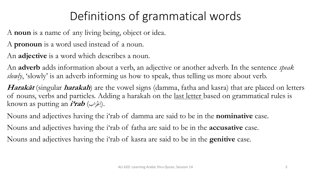# Definitions of grammatical words

A **noun** is a name of any living being, object or idea.

A **pronoun** is a word used instead of a noun.

An **adjective** is a word which describes a noun.

An **adverb** adds information about a verb, an adjective or another adverb. In the sentence *speak*  slowly, 'slowly' is an adverb informing us how to speak, thus telling us more about verb.

**Harakāt** (singular **harakah**) are the vowel signs (damma, fatha and kasra) that are placed on letters of nouns, verbs and particles. Adding a harakah on the last letter based on grammatical rules is known as putting an **i'rab** (اب مر ع .(ا ر<br>.  $\overline{\mathcal{L}}$ 

Nouns and adjectives having the i'rab of damma are said to be in the **nominative** case. Nouns and adjectives having the i'rab of fatha are said to be in the **accusative** case. Nouns and adjectives having the i'rab of kasra are said to be in the **genitive** case.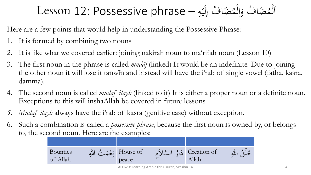#### ضَافُ إِلَيْهِ — Lesson 12: Possessive phrase مُض*َ*<br>• ضَافٌ وَالْمُ )<br>ا َ مُض*َ*<br>• مُضَافٌ وَالْمُضَافُ إِلَيْهِ )<br>ا ل  $\frac{1}{2}$ ا ِ  $\ddot{ }$ ه<br>به

Here are a few points that would help in understanding the Possessive Phrase:

- 1. It is formed by combining two nouns
- 2. It is like what we covered earlier: joining nakirah noun to ma'rifah noun (Lesson 10)
- 3. The first noun in the phrase is called *mudāf* (linked) It would be an indefinite. Due to joining the other noun it will lose it tanwīn and instead will have the i'rab of single vowel (fatha, kasra, damma).
- 4. The second noun is called *mudāf ilayh* (linked to it) It is either a proper noun or a definite noun. Exceptions to this will inshāAllah be covered in future lessons.
- *5. Mudaf ilayh* always have the i'rab of kasra (genitive case) without exception.
- 6. Such a combination is called a *possessive phrase*, because the first noun is owned by, or belongs to, the second noun. Here are the examples:

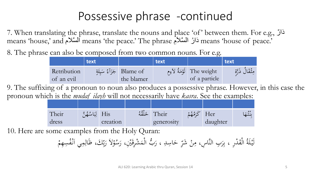### Possessive phrase -continued

7. When translating the phrase, translate the nouns and place 'of' between them. For e.g., ر َدا means 'house,' and ٱلسَّلاَم means 'the peace.' The phrase أَلسَّلام means 'house,' and

8. The phrase can also be composed from two common nouns. For e.g.

|                           | text |                                        | text |                                               | $ $ text        |
|---------------------------|------|----------------------------------------|------|-----------------------------------------------|-----------------|
| Retribution<br>of an evil |      | Blame of جَزَآءُ سَيئَةٍ<br>the blamer |      | The weight   لَوْمَةُ لاَءِم<br>of a particle | وشُقَالَ ذَرَّة |

9. The suffixing of a pronoun to noun also produces a possessive phrase. However, in this case the pronoun which is the *mudaf ilayh* will not necessarily have *kasra*. See the examples:

| Their | His لِبَاسُهُنَّ |          | اخَلْقُهُ | Their      | Her      | $\leq$ $\cdots$ |
|-------|------------------|----------|-----------|------------|----------|-----------------|
| dress |                  | creation |           | generosity | daughter |                 |

10. Here are some examples from the Holy Quran:

رِّ حَاسِدِ ، رَبُّ الْمَشْرِقَيْنِ، ار<br>م ة<br>-نہ<br>نہ  $\blacktriangle$ م ر<br>ا  $\overline{a}$ َ لَيْلَةُ الْقَدْرِ ، بِرَبِ النَّاسِ، مِنْ شَرِّ حَاسِدِ ، رَبُّ الْمَشْرِقَيْنِ، رَسُوْلاَ  $\mathbf{A}$ ر<br>( ِ<br>بہ م  $\ddot{•}$ م م<br>ِ رَسُوْلاً رَبِّكَ،<br>ر ر<br>ِ ِ<br>بِ بد<br>زم ر<br>. رَبِّكَ، ظَالِمِي اَنْفُسِهِمْ م .<br>د  $\int$ ِ<br>ل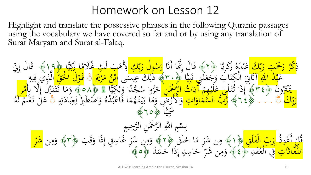### Homework on Lesson 12

Highlight and translate the possessive phrases in the following Quranic passages using the vocabulary we have covered so far and or by using any translation of Surat Maryam and Surat al-Falaq.

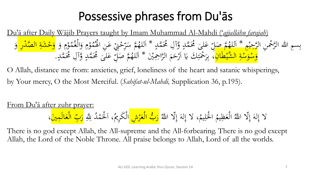## Possessive phrases from Du'ās

Du'ā after Daily Wājib Prayers taught by Imam Muhammad Al-Mahdi ('*ajjallāhu farajah*) بِسمِ الله الرَّحْمنِ الرَّحِيْمِ \* اَللهُمَّ صَلِّ عَلَىَ مُحَمَّدٍ وَّآلِ مُحَمَّدٍ  $\frac{4}{1}$ ە<br><mark>ب</mark> ڪ<br>پ  $\overline{a}$  $\frac{1}{2}$ **ک** مَّ صَبَلٌ<br>و أن ا ام<br>م لِّلْهُمَّ صَلِّ عَلَىَ مُحَمَّدٍ وَّآلِ مُحَمَّدٍ \* \*  $\overline{\phantom{a}}$ ا  $\overline{a}$  $\blacktriangle$ وْمِ وَالْغُمُّ<br>مَسَمَّدُ م ه<br>ند  $\overline{\phantom{a}}$ ه<br>ن  $\frac{1}{2}$ رو<br>حک ں<br>ر رْحْنِيْ عَنِ الْهُ <u>لم</u><br>. ى<br>ر ر<br>سا ا<br>م  $\sum$ يَّة سُتَرِّ<br>م مد<br>پر  $\begin{array}{c} \mathbf{c} \ \mathbf{c} \ \mathbf{c} \end{array}$ للهُمَّ سَرِّحْنِيْ عَنِ الْهُمُوْمِ وَالْغُمُوْمِ وَ <mark>وَحْشَةِ الصَّدْرِ وَ</mark><br>\* بَالِهُمَّ عَبَسَ عَلَى مُصَوِّمٍ وَالْغُمُوْمِ وَ <mark>وَحْشَةِ الصَّدْرِ وَ</mark> ا<br>. ا و<br>.  $\ddot{\phantom{0}}$ ه ر<br>و ل<br>ا ا<br>قم َ وَسْوَسْةِ الشَّيْطَانِ<mark>، بِرَحْمَتِكَ يَا اَرْحَمَ الرَّاحِم</mark>ِيْنَ ا<br>قم <mark>م</mark><br>ا و<br>ا <mark>م</mark><br>ا و<br>ا ب<br>، بِرَحْمَتِكَ يَا اَرْحَمَ الرَّاحِمَيْنَ \* اَللّٰهُمَّ صَهَّ  $\mathfrak{g}$ َ ر<br>ر ا <u>َبا</u><br>: .<br>بر **تنبل**ا م  $\frac{1}{2}$  $\ddot{\phantom{0}}$ **€** للْهُمَّ صَلِّ عَلَىَ مُحَمَّدٍ وَّآلِ مُحَمَّدٍ  $\frac{1}{2}$ ا  $\frac{1}{2}$  $\frac{1}{2}$  $\overline{\phantom{0}}$ **ک**  $\frac{1}{2}$ لِّ عَلَىَ مُحَمَّدٍ وَّآلِ مُحَمَّدٍ.

O Allah, distance me from: anxieties, grief, loneliness of the heart and satanic whisperings, by Your mercy, O the Most Merciful. (*Sahifat-ul-Mahdi,* Supplication 36, p.195).

From Du'ā after zuhr prayer: ُ ، لا إِلهَ إِلّا اللَّهُ  $\int$ إ لى<br>ا  $\int$ ُ لحَلِيمُ ِ<br>با .<br>.<br>. لز<br>ح ا ُ و<br>يبع َظِ ع ال م ُ لا إِلهَ إِلّا اللّهُ الْعَظِيمُ الْحَلِيمُ، لا إِلهَ إِلّا اللّهُ <mark>رَبُّ الْعَرْشِ </mark>الْكَرِيمُ، اَلْحَمْدُ لِلّهِ ا<br>ِءِ إ َ <mark>ر</mark> ً<br>ا <mark>ل</mark> <mark>ر</mark>  $\overline{a}$ م <u>ئ</u> الْكَرِيمُ، اَلْحَمْدُ لِلَّهِ <mark>رَبِّ الْعَالَمِينَ</mark> ا<br>ا ل<br>ا رب<br>ا رَبِّ الْعَالَمِينَّ،

There is no god except Allah, the All-supreme and the All-forbearing. There is no god except Allah, the Lord of the Noble Throne. All praise belongs to Allah, Lord of all the worlds.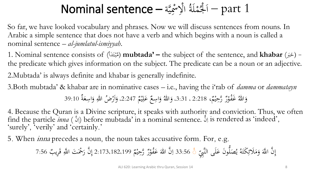#### مْلَةُ الْإِسْمِيَّة – Nominal sentence يک<br>په ِ **م<br>مار**  $\sum_{i=1}^n$ ل<br>لا ا  $\perp$ **م**<br>-.<br>. بَلْدًا – part  $1$

So far, we have looked vocabulary and phrases. Now we will discuss sentences from nouns. In Arabic a simple sentence that does not have a verb and which begins with a noun is called a nominal sentence – *al-jumlatul-ismiyyah*.

1. Nominal sentence consists of (أ َد ب ل<br>ا ت م **گر** م (**mubtada' –** the subject of the sentence, and **khabar** ( َِب - (خ  $\ddot{ }$ the predicate which gives information on the subject. The predicate can be a noun or an adjective. 2.Mubtada' is always definite and khabar is generally indefinite.

3.Both mubtada' & khabar are in nominative cases – i.e., having the i'rab of *damma* or *dammatayn* ،  $\mathfrak{g}$ و تَحِيْمٌ<br>رُّ رَحِيْمٌ  $\ddot{\cdot}$ ه<br>يو وَاللهُ غَفْوْرٌ رَّحِيْمٌ، 2:218 ، 3:31. م  $\mathfrak{g}$ عَلِيْمٌ  $\ddot{\cdot}$ ه<br>يو  $\overline{1}$ **ک**  $\zeta$ ع اسِ و َ وَاللّٰهُ وَاسِعٌ عَلِيْمٌ 2:247، وَأَرْضُ اللّٰهِ وَاسِعَةٌ 39:10 **گ**ر َ ا َ

4. Because the Quran is a Divine scripture, it speaks with authority and conviction. Thus, we often find the particle *inna* (أَلَّ) before mubtada' in a nominal sentence. أَبَّ is rendered as 'indeed',  $\overline{1}$  $\overline{\mathcal{L}}$ 'surely' , 'verily' and 'certainly.'

5. When *inna* precedes a noun, the noun takes accusative form. For, e.g.

ِ َِّب لَى الن َ وَن ع ُّ ل َ ص ُ ي ُ ه َ َكت ِ َلئ َ م َ و َ ن ا َّّل َّ ِ إ 33:56 ۚ ٌ م م ي رحِ َّ ٌ ر م و ُ ف َ ع َ ن هللا َّ ِ ب ا 2:173،182،199 ٌ ِري َ ق ْحَ َت <sup>ا</sup> َّّلِ م َ ن ر َّ إ 7:56 ِ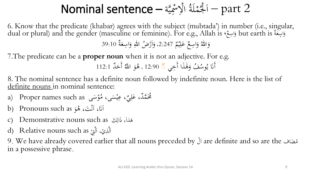#### مْلَةُ الْإِسْمِيَّة – Nominal sentence يک<br>په ِ **م<br>مار**  $\sum_{i=1}^n$ ل<br>لا ا  $\perp$ **م**<br>-.<br>. بَلْدًا – part 2

6. Know that the predicate (khabar) agrees with the subject (mubtada') in number (i.e., singular, dual or plural) and the gender (masculine or feminine). For e.g., Allah is سِعَةٌ but earth is وَاسِعٌ، َ **گ**ر ر<br>ب َ

 $\mathfrak{g}$ عَلِيْمٌ  $\ddot{\mathbf{r}}$ ه<br>يه  $\overline{\mathfrak{l}}$ **ک**  $\zeta$ ع اسِ و َ وَاللّٰهُ وَاسِعٌ عَلِيْمٌ 2:247، وَأَرْضُ اللّٰهِ وَاسِعَةٌ 39:10 **گ**ر َ ا َ

7.The predicate can be a **proper noun** when it is not an adjective. For e.g. وسُفُ وَهَٰذَا أَخِي  $\frac{1}{2}$  $\boldsymbol{\beta}$ َ يہ<br>: و<br>يو ن<br>نا أََن ً 12:90 ، هُوَ اللَّهُ أَحَدٌ ُ ا َّّل و َ **م** هُوَ اللَّهُ أَحَدٌ 112:1

8. The nominal sentence has a definite noun followed by indefinite noun. Here is the list of definite nouns in nominal sentence:

- a) Proper names such as ىَ س و م **گر** ى، م مس ، عِ  $\overline{a}$ ه<br>به ِ<br>په مُحَمَّدٌ، عَل<sub>ِيٌ</sub> ِ **ء**
- b) Pronouns such as و َ اَنَا، اَنْتَ، هُ<br>ا .<br>ن ن<br>ز  $\overline{\phantom{a}}$ ا
- c) Demonstrative nouns such as هَذاً، ذَالِكَ c ِ
- d) Relative nouns such as لَّذِيْ، اَلَّتِيْ .<br>-<br>1 ل  $\frac{1}{2}$ م ل  $\frac{1}{2}$ ا

9. We have already covered earlier that all nouns preceded by ملَ ا are definite and so are the ضافَ ُ م in a possessive phrase.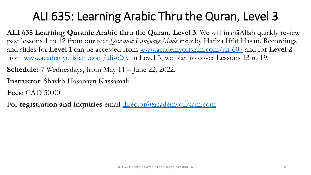# ALI 635: Learning Arabic Thru the Quran, Level 3

**ALI 635 Learning Quranic Arabic thru the Quran, Level 3**. We will inshāAllah quickly review past lessons 1 to 12 from our text *Qur'anic Language Made Easy* by Hafiza Iffat Hasan. Recordings and slides for **Level 1** can be accessed from [www.academyofislam.com/ali-607](http://www.academyofislam.com/ali-607) and for **Level 2** from [www.academyofislam.com/ali-620.](http://www.academyofislam.com/ali-620) In Level 3, we plan to cover Lessons 13 to 19.

**Schedule:** 7 Wednesdays, from May 11 – June 22, 2022.

**Instructor**: Shaykh Hasanayn Kassamali

**Fees**: CAD 50.00

For **registration and inquiries** email [director@academyofislam.com](mailto:director@academyofislam.com)